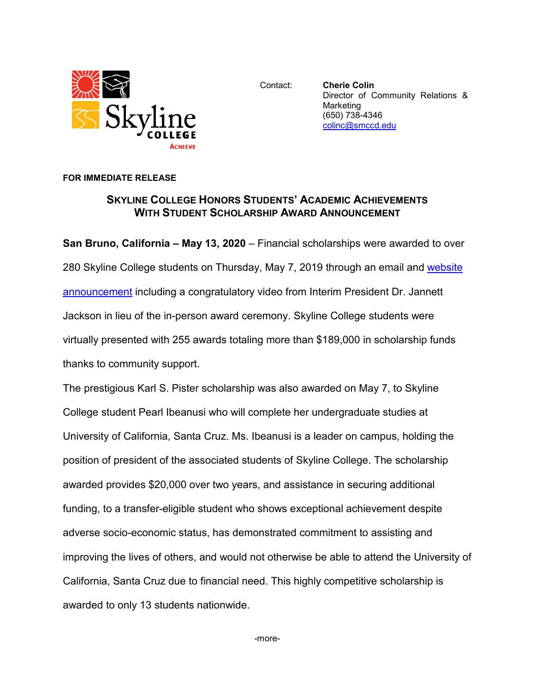

Contact: **Cherie Colin** Director of Community Relations & Marketing (650) 738-4346 [colinc@smccd.edu](mailto:colinc@smccd.edu)

## **FOR IMMEDIATE RELEASE**

## **SKYLINE COLLEGE HONORS STUDENTS' ACADEMIC ACHIEVEMENTS WITH STUDENT SCHOLARSHIP AWARD ANNOUNCEMENT**

**San Bruno, California – May 13, 2020** – Financial scholarships were awarded to over 280 Skyline College students on Thursday, May 7, 2019 through an email and website [announcement](http://skylinecollege.edu/ssac/awardees.php) including a congratulatory video from Interim President Dr. Jannett Jackson in lieu of the in-person award ceremony. Skyline College students were virtually presented with 255 awards totaling more than \$189,000 in scholarship funds thanks to community support.

The prestigious Karl S. Pister scholarship was also awarded on May 7, to Skyline College student Pearl Ibeanusi who will complete her undergraduate studies at University of California, Santa Cruz. Ms. Ibeanusi is a leader on campus, holding the position of president of the associated students of Skyline College. The scholarship awarded provides \$20,000 over two years, and assistance in securing additional funding, to a transfer-eligible student who shows exceptional achievement despite adverse socio-economic status, has demonstrated commitment to assisting and improving the lives of others, and would not otherwise be able to attend the University of California, Santa Cruz due to financial need. This highly competitive scholarship is awarded to only 13 students nationwide.